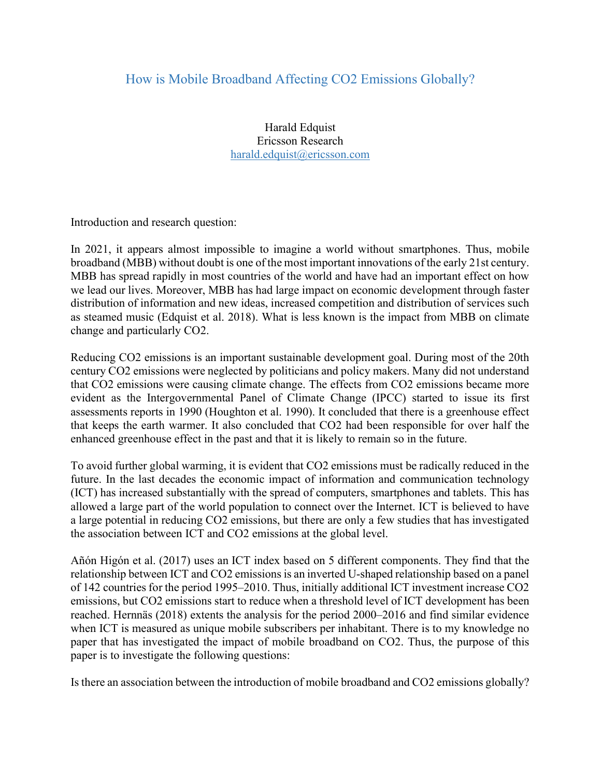## How is Mobile Broadband Affecting CO2 Emissions Globally?

Harald Edquist Ericsson Research harald.edquist@ericsson.com

Introduction and research question:

In 2021, it appears almost impossible to imagine a world without smartphones. Thus, mobile broadband (MBB) without doubt is one of the most important innovations of the early 21st century. MBB has spread rapidly in most countries of the world and have had an important effect on how we lead our lives. Moreover, MBB has had large impact on economic development through faster distribution of information and new ideas, increased competition and distribution of services such as steamed music (Edquist et al. 2018). What is less known is the impact from MBB on climate change and particularly CO2.

Reducing CO2 emissions is an important sustainable development goal. During most of the 20th century CO2 emissions were neglected by politicians and policy makers. Many did not understand that CO2 emissions were causing climate change. The effects from CO2 emissions became more evident as the Intergovernmental Panel of Climate Change (IPCC) started to issue its first assessments reports in 1990 (Houghton et al. 1990). It concluded that there is a greenhouse effect that keeps the earth warmer. It also concluded that CO2 had been responsible for over half the enhanced greenhouse effect in the past and that it is likely to remain so in the future.

To avoid further global warming, it is evident that CO2 emissions must be radically reduced in the future. In the last decades the economic impact of information and communication technology (ICT) has increased substantially with the spread of computers, smartphones and tablets. This has allowed a large part of the world population to connect over the Internet. ICT is believed to have a large potential in reducing CO2 emissions, but there are only a few studies that has investigated the association between ICT and CO2 emissions at the global level.

Añón Higón et al. (2017) uses an ICT index based on 5 different components. They find that the relationship between ICT and CO2 emissions is an inverted U-shaped relationship based on a panel of 142 countries for the period 1995–2010. Thus, initially additional ICT investment increase CO2 emissions, but CO2 emissions start to reduce when a threshold level of ICT development has been reached. Hernnäs (2018) extents the analysis for the period 2000–2016 and find similar evidence when ICT is measured as unique mobile subscribers per inhabitant. There is to my knowledge no paper that has investigated the impact of mobile broadband on CO2. Thus, the purpose of this paper is to investigate the following questions:

Is there an association between the introduction of mobile broadband and CO2 emissions globally?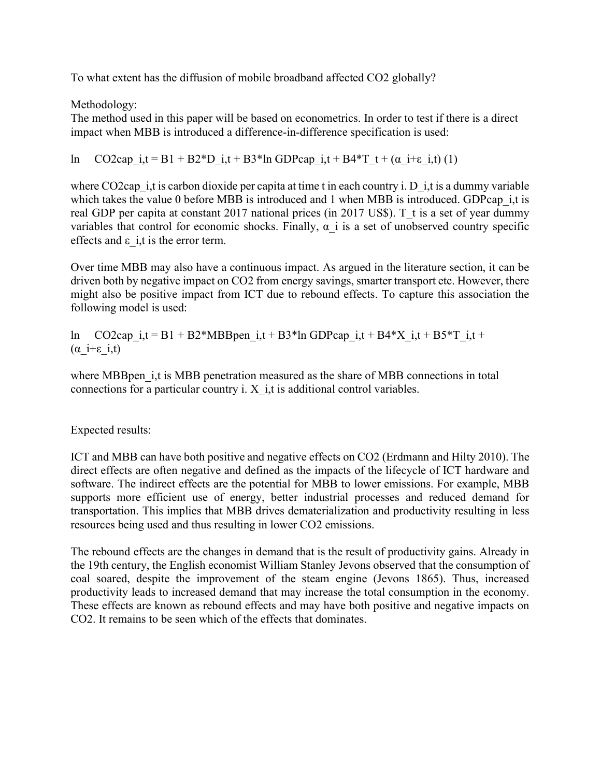To what extent has the diffusion of mobile broadband affected CO2 globally?

Methodology:

The method used in this paper will be based on econometrics. In order to test if there is a direct impact when MBB is introduced a difference-in-difference specification is used:

ln CO2cap\_i,t = B1 + B2\*D\_i,t + B3\*ln GDPcap\_i,t + B4\*T\_t +  $(\alpha$  i+ε\_i,t) (1)

where CO2cap  $\dot{i}$ , t is carbon dioxide per capita at time t in each country i. D  $\dot{j}$ , t is a dummy variable which takes the value 0 before MBB is introduced and 1 when MBB is introduced. GDPcap i,t is real GDP per capita at constant 2017 national prices (in 2017 US\$). T\_t is a set of year dummy variables that control for economic shocks. Finally,  $\alpha$  i is a set of unobserved country specific effects and  $\varepsilon$  i,t is the error term.

Over time MBB may also have a continuous impact. As argued in the literature section, it can be driven both by negative impact on CO2 from energy savings, smarter transport etc. However, there might also be positive impact from ICT due to rebound effects. To capture this association the following model is used:

ln CO2cap i,t = B1 + B2\*MBBpen i,t + B3\*ln GDPcap i,t + B4\*X i,t + B5\*T i,t + ( $\alpha$  i+ε i,t)

where MBB penetration measured as the share of MBB connections in total connections for a particular country i.  $X$  i,t is additional control variables.

Expected results:

ICT and MBB can have both positive and negative effects on CO2 (Erdmann and Hilty 2010). The direct effects are often negative and defined as the impacts of the lifecycle of ICT hardware and software. The indirect effects are the potential for MBB to lower emissions. For example, MBB supports more efficient use of energy, better industrial processes and reduced demand for transportation. This implies that MBB drives dematerialization and productivity resulting in less resources being used and thus resulting in lower CO2 emissions.

The rebound effects are the changes in demand that is the result of productivity gains. Already in the 19th century, the English economist William Stanley Jevons observed that the consumption of coal soared, despite the improvement of the steam engine (Jevons 1865). Thus, increased productivity leads to increased demand that may increase the total consumption in the economy. These effects are known as rebound effects and may have both positive and negative impacts on CO2. It remains to be seen which of the effects that dominates.